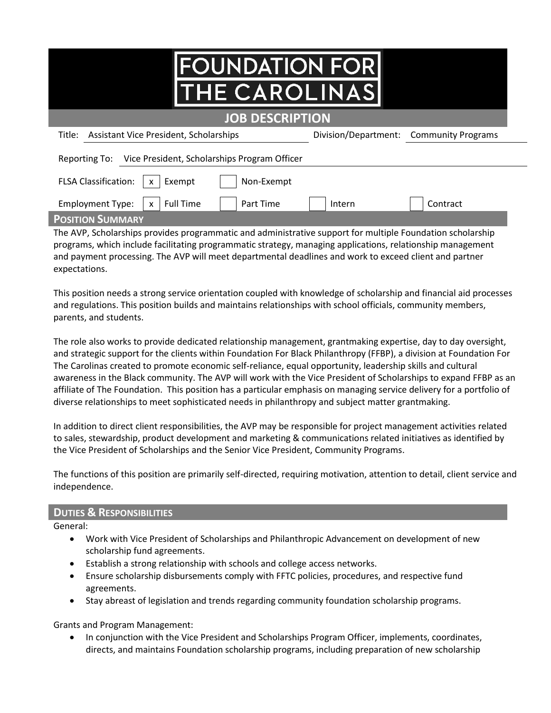| <b>FOUNDATION FOR</b><br><b>THE CAROLINAS</b>                                                              |                      |                           |  |  |
|------------------------------------------------------------------------------------------------------------|----------------------|---------------------------|--|--|
| <b>JOB DESCRIPTION</b>                                                                                     |                      |                           |  |  |
| Title: Assistant Vice President, Scholarships                                                              | Division/Department: | <b>Community Programs</b> |  |  |
| Reporting To: Vice President, Scholarships Program Officer                                                 |                      |                           |  |  |
| <b>FLSA Classification:</b><br>Non-Exempt<br>Exempt<br>$\mathsf{x}$                                        |                      |                           |  |  |
| <b>Full Time</b><br>Part Time<br><b>Employment Type:</b><br>$\mathsf{x}$                                   | Intern               | Contract                  |  |  |
| <b>POSITION SUMMARY</b>                                                                                    |                      |                           |  |  |
| The AVP, Scholarships provides programmatic and administrative support for multiple Foundation scholarship |                      |                           |  |  |

programs, which include facilitating programmatic strategy, managing applications, relationship management and payment processing. The AVP will meet departmental deadlines and work to exceed client and partner expectations.

This position needs a strong service orientation coupled with knowledge of scholarship and financial aid processes and regulations. This position builds and maintains relationships with school officials, community members, parents, and students.

The role also works to provide dedicated relationship management, grantmaking expertise, day to day oversight, and strategic support for the clients within Foundation For Black Philanthropy (FFBP), a division at Foundation For The Carolinas created to promote economic self-reliance, equal opportunity, leadership skills and cultural awareness in the Black community. The AVP will work with the Vice President of Scholarships to expand FFBP as an affiliate of The Foundation. This position has a particular emphasis on managing service delivery for a portfolio of diverse relationships to meet sophisticated needs in philanthropy and subject matter grantmaking.

In addition to direct client responsibilities, the AVP may be responsible for project management activities related to sales, stewardship, product development and marketing & communications related initiatives as identified by the Vice President of Scholarships and the Senior Vice President, Community Programs.

The functions of this position are primarily self-directed, requiring motivation, attention to detail, client service and independence.

## **DUTIES & RESPONSIBILITIES**

General:

- Work with Vice President of Scholarships and Philanthropic Advancement on development of new scholarship fund agreements.
- Establish a strong relationship with schools and college access networks.
- Ensure scholarship disbursements comply with FFTC policies, procedures, and respective fund agreements.
- Stay abreast of legislation and trends regarding community foundation scholarship programs.

Grants and Program Management:

• In conjunction with the Vice President and Scholarships Program Officer, implements, coordinates, directs, and maintains Foundation scholarship programs, including preparation of new scholarship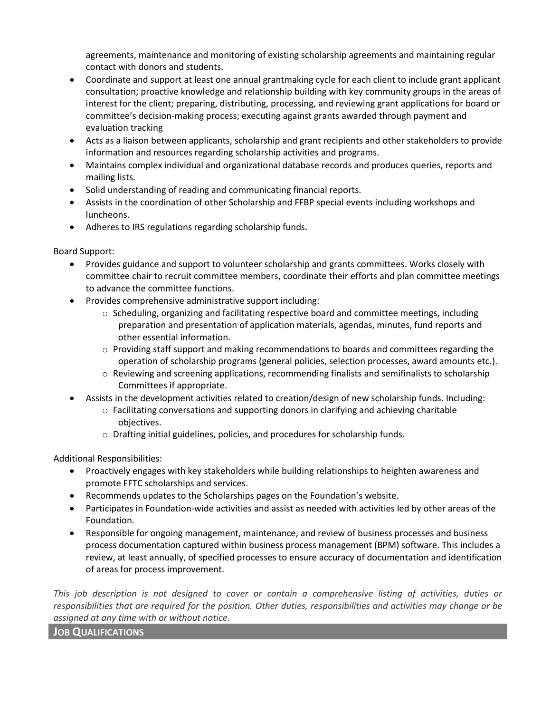agreements, maintenance and monitoring of existing scholarship agreements and maintaining regular contact with donors and students.

- Coordinate and support at least one annual grantmaking cycle for each client to include grant applicant consultation; proactive knowledge and relationship building with key community groups in the areas of interest for the client; preparing, distributing, processing, and reviewing grant applications for board or committee's decision-making process; executing against grants awarded through payment and evaluation tracking
- Acts as a liaison between applicants, scholarship and grant recipients and other stakeholders to provide information and resources regarding scholarship activities and programs.
- Maintains complex individual and organizational database records and produces queries, reports and mailing lists.
- Solid understanding of reading and communicating financial reports.
- Assists in the coordination of other Scholarship and FFBP special events including workshops and luncheons.
- Adheres to IRS regulations regarding scholarship funds.

Board Support:

- Provides guidance and support to volunteer scholarship and grants committees. Works closely with committee chair to recruit committee members, coordinate their efforts and plan committee meetings to advance the committee functions.
- Provides comprehensive administrative support including:
	- $\circ$  Scheduling, organizing and facilitating respective board and committee meetings, including preparation and presentation of application materials, agendas, minutes, fund reports and other essential information.
	- $\circ$  Providing staff support and making recommendations to boards and committees regarding the operation of scholarship programs (general policies, selection processes, award amounts etc.).
	- o Reviewing and screening applications, recommending finalists and semifinalists to scholarship Committees if appropriate.
- Assists in the development activities related to creation/design of new scholarship funds. Including:
	- $\circ$  Facilitating conversations and supporting donors in clarifying and achieving charitable objectives.
	- o Drafting initial guidelines, policies, and procedures for scholarship funds.

Additional Responsibilities:

- Proactively engages with key stakeholders while building relationships to heighten awareness and promote FFTC scholarships and services.
- Recommends updates to the Scholarships pages on the Foundation's website.
- Participates in Foundation-wide activities and assist as needed with activities led by other areas of the Foundation.
- Responsible for ongoing management, maintenance, and review of business processes and business process documentation captured within business process management (BPM) software. This includes a review, at least annually, of specified processes to ensure accuracy of documentation and identification of areas for process improvement.

*This job description is not designed to cover or contain a comprehensive listing of activities, duties or responsibilities that are required for the position. Other duties, responsibilities and activities may change or be assigned at any time with or without notice*.

**JOB QUALIFICATIONS**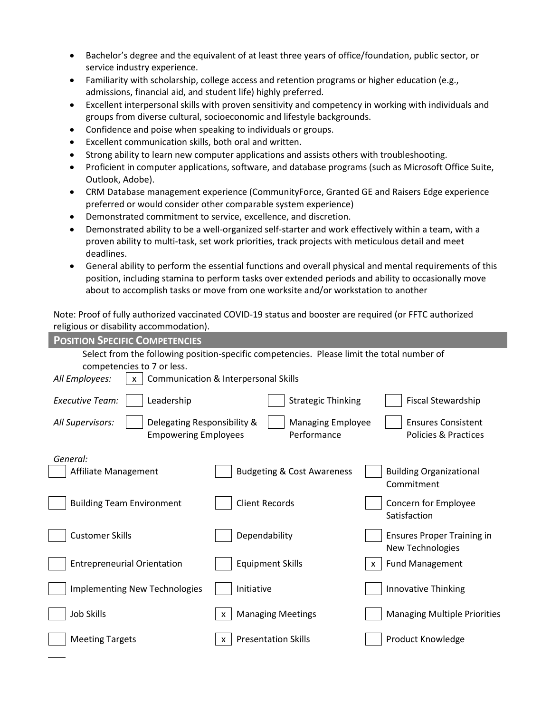- Bachelor's degree and the equivalent of at least three years of office/foundation, public sector, or service industry experience.
- Familiarity with scholarship, college access and retention programs or higher education (e.g., admissions, financial aid, and student life) highly preferred.
- Excellent interpersonal skills with proven sensitivity and competency in working with individuals and groups from diverse cultural, socioeconomic and lifestyle backgrounds.
- Confidence and poise when speaking to individuals or groups.
- Excellent communication skills, both oral and written.
- Strong ability to learn new computer applications and assists others with troubleshooting.
- Proficient in computer applications, software, and database programs (such as Microsoft Office Suite, Outlook, Adobe).
- CRM Database management experience (CommunityForce, Granted GE and Raisers Edge experience preferred or would consider other comparable system experience)
- Demonstrated commitment to service, excellence, and discretion.
- Demonstrated ability to be a well-organized self-starter and work effectively within a team, with a proven ability to multi-task, set work priorities, track projects with meticulous detail and meet deadlines.
- General ability to perform the essential functions and overall physical and mental requirements of this position, including stamina to perform tasks over extended periods and ability to occasionally move about to accomplish tasks or move from one worksite and/or workstation to another

Note: Proof of fully authorized vaccinated COVID-19 status and booster are required (or FFTC authorized religious or disability accommodation).

| <b>POSITION SPECIFIC COMPETENCIES</b>                                                                                    |                                         |                                                              |  |  |
|--------------------------------------------------------------------------------------------------------------------------|-----------------------------------------|--------------------------------------------------------------|--|--|
| Select from the following position-specific competencies. Please limit the total number of<br>competencies to 7 or less. |                                         |                                                              |  |  |
| All Employees:<br>Communication & Interpersonal Skills                                                                   |                                         |                                                              |  |  |
| <b>Executive Team:</b><br>Leadership                                                                                     | <b>Strategic Thinking</b>               | Fiscal Stewardship                                           |  |  |
| All Supervisors:<br>Delegating Responsibility &<br><b>Empowering Employees</b>                                           | <b>Managing Employee</b><br>Performance | <b>Ensures Consistent</b><br><b>Policies &amp; Practices</b> |  |  |
| General:<br>Affiliate Management                                                                                         | <b>Budgeting &amp; Cost Awareness</b>   | <b>Building Organizational</b><br>Commitment                 |  |  |
| <b>Building Team Environment</b>                                                                                         | <b>Client Records</b>                   | Concern for Employee<br>Satisfaction                         |  |  |
| <b>Customer Skills</b>                                                                                                   | Dependability                           | <b>Ensures Proper Training in</b><br>New Technologies        |  |  |
| <b>Entrepreneurial Orientation</b>                                                                                       | <b>Equipment Skills</b>                 | <b>Fund Management</b><br>$\mathsf{x}$                       |  |  |
| <b>Implementing New Technologies</b>                                                                                     | Initiative                              | Innovative Thinking                                          |  |  |
| Job Skills                                                                                                               | <b>Managing Meetings</b><br>X           | <b>Managing Multiple Priorities</b>                          |  |  |
| <b>Meeting Targets</b>                                                                                                   | <b>Presentation Skills</b><br>X         | <b>Product Knowledge</b>                                     |  |  |